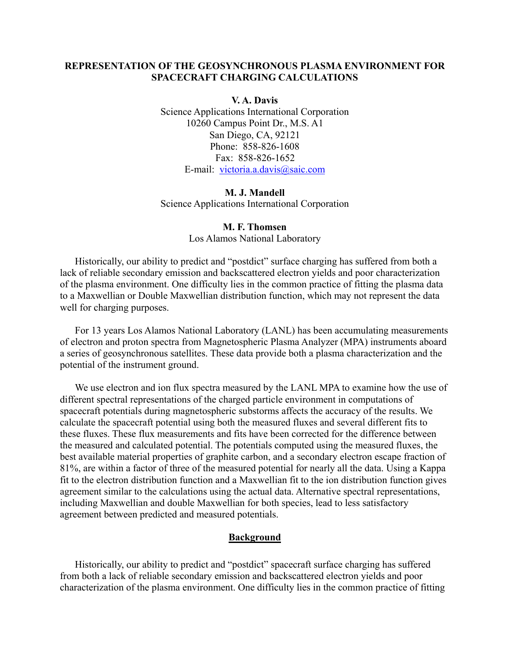# **REPRESENTATION OF THE GEOSYNCHRONOUS PLASMA ENVIRONMENT FOR SPACECRAFT CHARGING CALCULATIONS**

**V. A. Davis**

Science Applications International Corporation 10260 Campus Point Dr., M.S. A1 San Diego, CA, 92121 Phone: 858-826-1608 Fax: 858-826-1652 E-mail: [victoria.a.davis@saic.com](mailto:victoria.a.davis@saic.com)

# **M. J. Mandell**  Science Applications International Corporation

#### **M. F. Thomsen**

Los Alamos National Laboratory

Historically, our ability to predict and "postdict" surface charging has suffered from both a lack of reliable secondary emission and backscattered electron yields and poor characterization of the plasma environment. One difficulty lies in the common practice of fitting the plasma data to a Maxwellian or Double Maxwellian distribution function, which may not represent the data well for charging purposes.

For 13 years Los Alamos National Laboratory (LANL) has been accumulating measurements of electron and proton spectra from Magnetospheric Plasma Analyzer (MPA) instruments aboard a series of geosynchronous satellites. These data provide both a plasma characterization and the potential of the instrument ground.

We use electron and ion flux spectra measured by the LANL MPA to examine how the use of different spectral representations of the charged particle environment in computations of spacecraft potentials during magnetospheric substorms affects the accuracy of the results. We calculate the spacecraft potential using both the measured fluxes and several different fits to these fluxes. These flux measurements and fits have been corrected for the difference between the measured and calculated potential. The potentials computed using the measured fluxes, the best available material properties of graphite carbon, and a secondary electron escape fraction of 81%, are within a factor of three of the measured potential for nearly all the data. Using a Kappa fit to the electron distribution function and a Maxwellian fit to the ion distribution function gives agreement similar to the calculations using the actual data. Alternative spectral representations, including Maxwellian and double Maxwellian for both species, lead to less satisfactory agreement between predicted and measured potentials.

#### **Background**

Historically, our ability to predict and "postdict" spacecraft surface charging has suffered from both a lack of reliable secondary emission and backscattered electron yields and poor characterization of the plasma environment. One difficulty lies in the common practice of fitting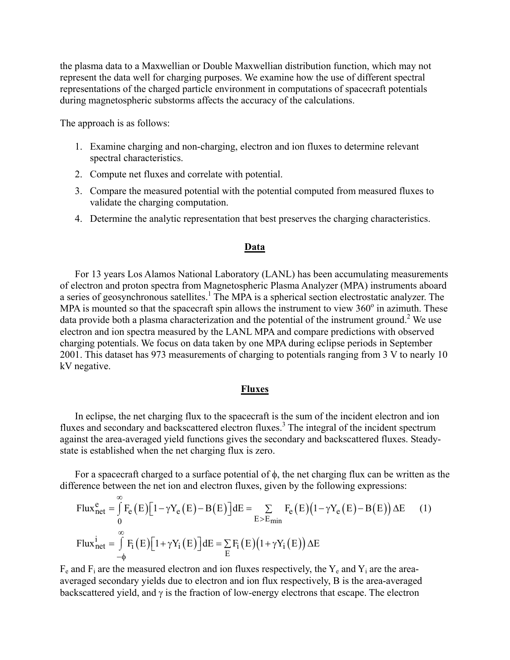the plasma data to a Maxwellian or Double Maxwellian distribution function, which may not represent the data well for charging purposes. We examine how the use of different spectral representations of the charged particle environment in computations of spacecraft potentials during magnetospheric substorms affects the accuracy of the calculations.

The approach is as follows:

- 1. Examine charging and non-charging, electron and ion fluxes to determine relevant spectral characteristics.
- 2. Compute net fluxes and correlate with potential.
- 3. Compare the measured potential with the potential computed from measured fluxes to validate the charging computation.
- 4. Determine the analytic representation that best preserves the charging characteristics.

# **Data**

For 13 years Los Alamos National Laboratory (LANL) has been accumulating measurements of electron and proton spectra from Magnetospheric Plasma Analyzer (MPA) instruments aboard a series of geosynchronous satellites.<sup>[1](#page-8-0)</sup> The MPA is a spherical section electrostatic analyzer. The MPA is mounted so that the spacecraft spin allows the instrument to view  $360^\circ$  in azimuth. These data provide both a plasma characterization and the potential of the instrument ground.<sup>[2](#page-8-1)</sup> We use electron and ion spectra measured by the LANL MPA and compare predictions with observed charging potentials. We focus on data taken by one MPA during eclipse periods in September 2001. This dataset has 973 measurements of charging to potentials ranging from 3 V to nearly 10 kV negative.

# **Fluxes**

In eclipse, the net charging flux to the spacecraft is the sum of the incident electron and ion fluxes and secondary and backscattered electron fluxes.<sup>[3](#page-8-2)</sup> The integral of the incident spectrum against the area-averaged yield functions gives the secondary and backscattered fluxes. Steadystate is established when the net charging flux is zero.

For a spacecraft charged to a surface potential of  $\phi$ , the net charging flux can be written as the difference between the net ion and electron fluxes, given by the following expressions:

Flux<sup>e</sup><sub>net</sub> = 
$$
\int_{0}^{\infty} F_e(E)[1 - \gamma Y_e(E) - B(E)]dE = \sum_{E > E_{min}} F_e(E)(1 - \gamma Y_e(E) - B(E))\Delta E
$$
 (1)  
\nFlux<sup>i</sup><sub>net</sub> =  $\int_{-\phi}^{\infty} F_i(E)[1 + \gamma Y_i(E)]dE = \sum_{E} F_i(E)(1 + \gamma Y_i(E))\Delta E$ 

 $F_e$  and  $F_i$  are the measured electron and ion fluxes respectively, the  $Y_e$  and  $Y_i$  are the areaaveraged secondary yields due to electron and ion flux respectively, B is the area-averaged backscattered yield, and  $\gamma$  is the fraction of low-energy electrons that escape. The electron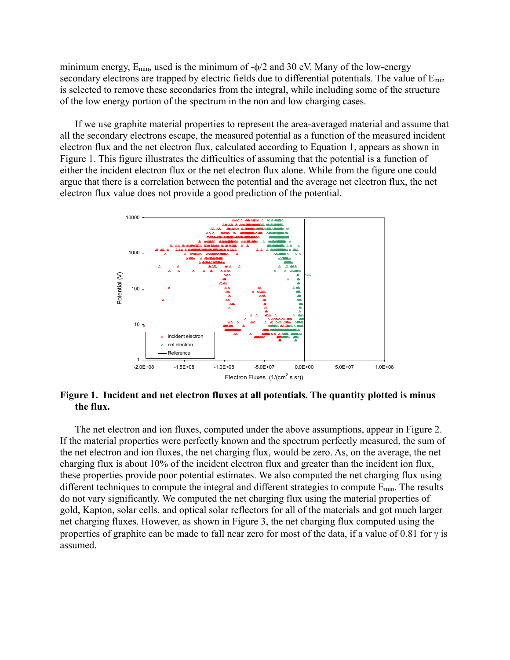minimum energy,  $E_{min}$ , used is the minimum of - $\phi/2$  and 30 eV. Many of the low-energy secondary electrons are trapped by electric fields due to differential potentials. The value of  $E_{min}$ is selected to remove these secondaries from the integral, while including some of the structure of the low energy portion of the spectrum in the non and low charging cases.

If we use graphite material properties to represent the area-averaged material and assume that all the secondary electrons escape, the measured potential as a function of the measured incident electron flux and the net electron flux, calculated according to Equation 1, appears as shown in Figure 1. This figure illustrates the difficulties of assuming that the potential is a function of either the incident electron flux or the net electron flux alone. While from the figure one could argue that there is a correlation between the potential and the average net electron flux, the net electron flux value does not provide a good prediction of the potential.



**Figure 1. Incident and net electron fluxes at all potentials. The quantity plotted is minus the flux.** 

The net electron and ion fluxes, computed under the above assumptions, appear in Figure 2. If the material properties were perfectly known and the spectrum perfectly measured, the sum of the net electron and ion fluxes, the net charging flux, would be zero. As, on the average, the net charging flux is about 10% of the incident electron flux and greater than the incident ion flux, these properties provide poor potential estimates. We also computed the net charging flux using different techniques to compute the integral and different strategies to compute  $E_{min}$ . The results do not vary significantly. We computed the net charging flux using the material properties of gold, Kapton, solar cells, and optical solar reflectors for all of the materials and got much larger net charging fluxes. However, as shown in Figure 3, the net charging flux computed using the properties of graphite can be made to fall near zero for most of the data, if a value of 0.81 for  $\gamma$  is assumed.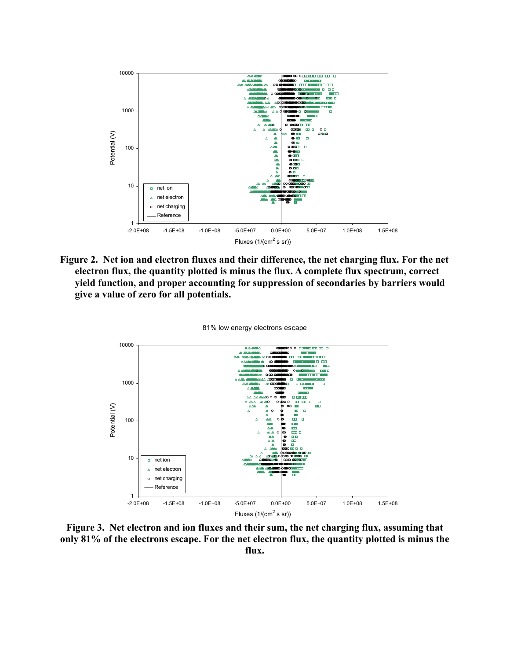

**Figure 2. Net ion and electron fluxes and their difference, the net charging flux. For the net electron flux, the quantity plotted is minus the flux. A complete flux spectrum, correct yield function, and proper accounting for suppression of secondaries by barriers would give a value of zero for all potentials.** 



**Figure 3. Net electron and ion fluxes and their sum, the net charging flux, assuming that only 81% of the electrons escape. For the net electron flux, the quantity plotted is minus the flux.**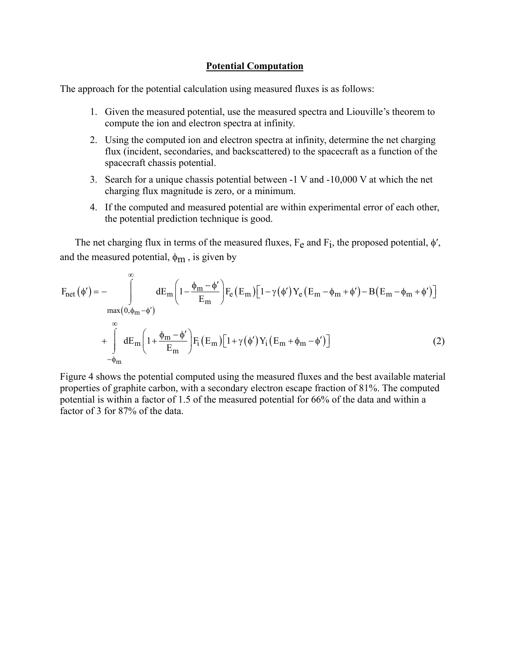## **Potential Computation**

The approach for the potential calculation using measured fluxes is as follows:

∞

- 1. Given the measured potential, use the measured spectra and Liouville's theorem to compute the ion and electron spectra at infinity.
- 2. Using the computed ion and electron spectra at infinity, determine the net charging flux (incident, secondaries, and backscattered) to the spacecraft as a function of the spacecraft chassis potential.
- 3. Search for a unique chassis potential between -1 V and -10,000 V at which the net charging flux magnitude is zero, or a minimum.
- 4. If the computed and measured potential are within experimental error of each other, the potential prediction technique is good.

The net charging flux in terms of the measured fluxes,  $F_e$  and  $F_i$ , the proposed potential,  $\phi'$ , and the measured potential,  $\phi_m$ , is given by

$$
F_{net}(\phi') = -\int_{\max(0,\phi_{m}-\phi')}^{\infty} dE_{m} \left(1 - \frac{\phi_{m} - \phi'}{E_{m}}\right) F_{e}(E_{m}) \left[1 - \gamma(\phi')Y_{e}(E_{m} - \phi_{m} + \phi') - B(E_{m} - \phi_{m} + \phi')\right]
$$
  
+ 
$$
\int_{-\phi_{m}}^{\infty} dE_{m} \left(1 + \frac{\phi_{m} - \phi'}{E_{m}}\right) F_{i}(E_{m}) \left[1 + \gamma(\phi')Y_{i}(E_{m} + \phi_{m} - \phi')\right]
$$
(2)

Figure 4 shows the potential computed using the measured fluxes and the best available material properties of graphite carbon, with a secondary electron escape fraction of 81%. The computed potential is within a factor of 1.5 of the measured potential for 66% of the data and within a factor of 3 for 87% of the data.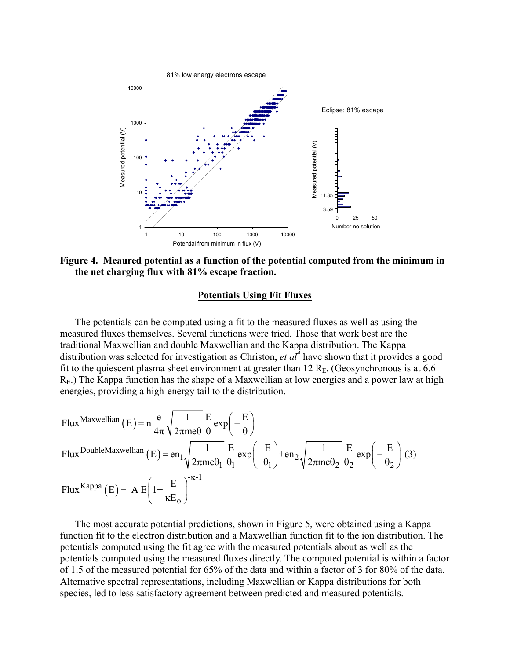

**Figure 4. Meaured potential as a function of the potential computed from the minimum in the net charging flux with 81% escape fraction.** 

# **Potentials Using Fit Fluxes**

The potentials can be computed using a fit to the measured fluxes as well as using the measured fluxes themselves. Several functions were tried. Those that work best are the traditional Maxwellian and double Maxwellian and the Kappa distribution. The Kappa distribution was selected for investigation as Christon, *et*  $a\overline{t}^4$  $a\overline{t}^4$  have shown that it provides a good fit to the quiescent plasma sheet environment at greater than  $12 \text{ R}_{\text{E}}$ . (Geosynchronous is at 6.6)  $R<sub>E</sub>$ .) The Kappa function has the shape of a Maxwellian at low energies and a power law at high energies, providing a high-energy tail to the distribution.

Flux<sup>Maxwellian</sup> (E) = 
$$
n \frac{e}{4\pi} \sqrt{\frac{1}{2\pi m e \theta} \frac{E}{\theta}} exp\left(-\frac{E}{\theta}\right)
$$
  
\nFlux<sup>DoubleMaxwellian</sup> (E) =  $en_1 \sqrt{\frac{1}{2\pi m e \theta_1}} \frac{E}{\theta_1} exp\left(-\frac{E}{\theta_1}\right) + en_2 \sqrt{\frac{1}{2\pi m e \theta_2}} \frac{E}{\theta_2} exp\left(-\frac{E}{\theta_2}\right)$  (3)  
\nFlux<sup>Kappa</sup> (E) =  $A E\left(1 + \frac{E}{\kappa E_0}\right)^{-\kappa - 1}$ 

The most accurate potential predictions, shown in Figure 5, were obtained using a Kappa function fit to the electron distribution and a Maxwellian function fit to the ion distribution. The potentials computed using the fit agree with the measured potentials about as well as the potentials computed using the measured fluxes directly. The computed potential is within a factor of 1.5 of the measured potential for 65% of the data and within a factor of 3 for 80% of the data. Alternative spectral representations, including Maxwellian or Kappa distributions for both species, led to less satisfactory agreement between predicted and measured potentials.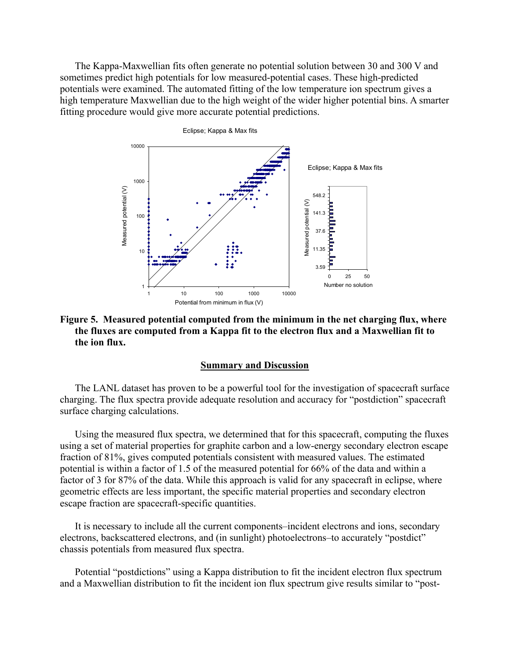The Kappa-Maxwellian fits often generate no potential solution between 30 and 300 V and sometimes predict high potentials for low measured-potential cases. These high-predicted potentials were examined. The automated fitting of the low temperature ion spectrum gives a high temperature Maxwellian due to the high weight of the wider higher potential bins. A smarter fitting procedure would give more accurate potential predictions.



**Figure 5. Measured potential computed from the minimum in the net charging flux, where the fluxes are computed from a Kappa fit to the electron flux and a Maxwellian fit to the ion flux.**

#### **Summary and Discussion**

The LANL dataset has proven to be a powerful tool for the investigation of spacecraft surface charging. The flux spectra provide adequate resolution and accuracy for "postdiction" spacecraft surface charging calculations.

Using the measured flux spectra, we determined that for this spacecraft, computing the fluxes using a set of material properties for graphite carbon and a low-energy secondary electron escape fraction of 81%, gives computed potentials consistent with measured values. The estimated potential is within a factor of 1.5 of the measured potential for 66% of the data and within a factor of 3 for 87% of the data. While this approach is valid for any spacecraft in eclipse, where geometric effects are less important, the specific material properties and secondary electron escape fraction are spacecraft-specific quantities.

It is necessary to include all the current components–incident electrons and ions, secondary electrons, backscattered electrons, and (in sunlight) photoelectrons–to accurately "postdict" chassis potentials from measured flux spectra.

Potential "postdictions" using a Kappa distribution to fit the incident electron flux spectrum and a Maxwellian distribution to fit the incident ion flux spectrum give results similar to "post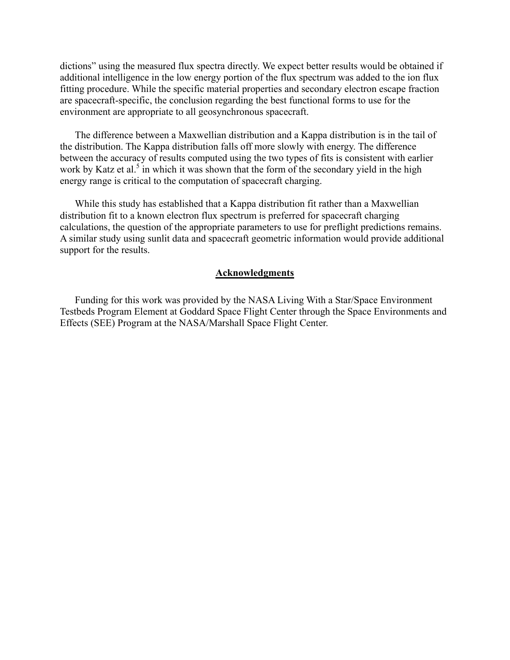dictions" using the measured flux spectra directly. We expect better results would be obtained if additional intelligence in the low energy portion of the flux spectrum was added to the ion flux fitting procedure. While the specific material properties and secondary electron escape fraction are spacecraft-specific, the conclusion regarding the best functional forms to use for the environment are appropriate to all geosynchronous spacecraft.

The difference between a Maxwellian distribution and a Kappa distribution is in the tail of the distribution. The Kappa distribution falls off more slowly with energy. The difference between the accuracy of results computed using the two types of fits is consistent with earlier work by Katz et al.<sup>[5](#page-8-4)</sup> in which it was shown that the form of the secondary yield in the high energy range is critical to the computation of spacecraft charging.

While this study has established that a Kappa distribution fit rather than a Maxwellian distribution fit to a known electron flux spectrum is preferred for spacecraft charging calculations, the question of the appropriate parameters to use for preflight predictions remains. A similar study using sunlit data and spacecraft geometric information would provide additional support for the results.

### **Acknowledgments**

Funding for this work was provided by the NASA Living With a Star/Space Environment Testbeds Program Element at Goddard Space Flight Center through the Space Environments and Effects (SEE) Program at the NASA/Marshall Space Flight Center.